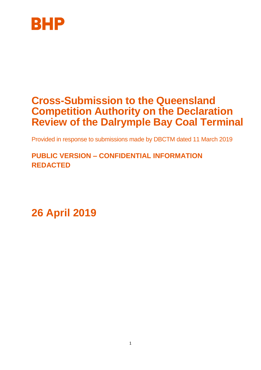

# **Cross-Submission to the Queensland Competition Authority on the Declaration Review of the Dalrymple Bay Coal Terminal**

Provided in response to submissions made by DBCTM dated 11 March 2019

**PUBLIC VERSION – CONFIDENTIAL INFORMATION REDACTED**

**26 April 2019**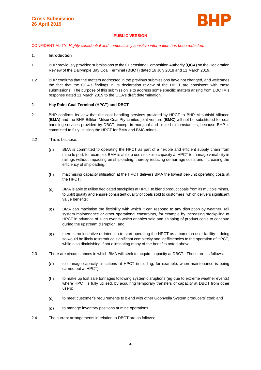

## **PUBLIC VERSION**

CONFIDENTIALITY: *Highly confidential and competitively sensitive information has been redacted.*

## 1. **Introduction**

- 1.1 BHP previously provided submissions to the Queensland Competition Authority (**QCA**) on the Declaration Review of the Dalrymple Bay Coal Terminal (**DBCT**) dated 16 July 2018 and 11 March 2019.
- 1.2 BHP confirms that the matters addressed in the previous submissions have not changed, and welcomes the fact that the QCA's findings in its declaration review of the DBCT are consistent with those submissions. The purpose of this submission is to address some specific matters arising from DBCTM's response dated 11 March 2019 to the QCA's draft determination.

#### 2. **Hay Point Coal Terminal (HPCT) and DBCT**

- 2.1 BHP confirms its view that the coal handling services provided by HPCT to BHP Mitsubishi Alliance (**BMA**) and the BHP Billiton Mitsui Coal Pty Limited joint venture (**BMC**) will not be substituted for coal handling services provided by DBCT, except in marginal and limited circumstances, because BHP is committed to fully utilising the HPCT for BMA and BMC mines.
- 2.2 This is because:
	- $(a)$ BMA is committed to operating the HPCT as part of a flexible and efficient supply chain from mine to port, for example, BMA is able to use stockpile capacity at HPCT to manage variability in railings without impacting on shiploading, thereby reducing demurrage costs and increasing the efficiency of shiploading;
	- maximising capacity utilisation at the HPCT delivers BMA the lowest per-unit operating costs at  $(b)$ the HPCT;
	- $(c)$ BMA is able to utilise dedicated stockpiles at HPCT to blend product coals from its multiple mines, to uplift quality and ensure consistent quality of coals sold to customers, which delivers significant value benefits;
	- $(d)$ BMA can maximise the flexibility with which it can respond to any disruption by weather, rail system maintenance or other operational constraints, for example by increasing stockpiling at HPCT in advance of such events which enables sale and shipping of product coals to continue during the upstream disruption; and
	- $(e)$ there is no incentive or intention to start operating the HPCT as a common user facility – doing so would be likely to introduce significant complexity and inefficiencies to the operation of HPCT, while also diminishing if not eliminating many of the benefits noted above.
- 2.3 There are circumstances in which BMA will seek to acquire capacity at DBCT. These are as follows:
	- $(a)$ to manage capacity limitations at HPCT (including, for example, when maintenance is being carried out at HPCT);
	- $(b)$ to make up lost sale tonnages following system disruptions (eg due to extreme weather events) where HPCT is fully utilised, by acquiring temporary transfers of capacity at DBCT from other users;
	- $(c)$ to meet customer's requirements to blend with other Goonyella System producers' coal; and
	- $(d)$ to manage inventory positions at mine operations.
- 2.4 The current arrangements in relation to DBCT are as follows: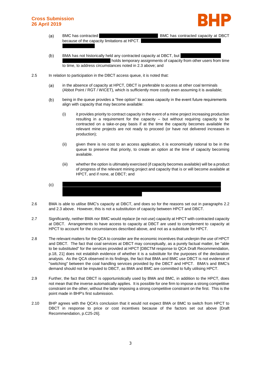## **Cross Submission 26 April 2019**



- $(a)$ BMC has contracted BMC has contracted capacity at DBCT because of the capacity limitations at HPCT.
- $(b)$ BMA has not historically held any contracted capacity at DBCT, but holds temporary assignments of capacity from other users from time to time, to address circumstances noted in 2.3 above; and
- 2.5 In relation to participation in the DBCT access queue, it is noted that:
	- in the absence of capacity at HPCT, DBCT is preferable to access at other coal terminals  $(a)$ (Abbot Point / RGT / WICET), which is sufficiently more costly even assuming it is available;
	- $(b)$ being in the queue provides a "free option" to access capacity in the event future requirements align with capacity that may become available:
		- (i) it provides priority to contract capacity in the event of a mine project increasing production resulting in a requirement for the capacity – but without requiring capacity to be contracted on a take-or-pay basis if at the time the capacity becomes available the relevant mine projects are not ready to proceed (or have not delivered increases in production);
		- (ii) given there is no cost to an access application, it is economically rational to be in the queue to preserve that priority, to create an option at the time of capacity becoming available.
		- (iii) whether the option is ultimately exercised (if capacity becomes available) will be a product of progress of the relevant mining project and capacity that is or will become available at HPCT, and if none, at DBCT; and
	- $(c)$
- 2.6 BMA is able to utilise BMC's capacity at DBCT, and does so for the reasons set out in paragraphs 2.2 and 2.3 above. However, this is not a substitution of capacity between HPCT and DBCT.
- 2.7 Significantly, neither BMA nor BMC would *replace* (ie not use) capacity at HPCT with contracted capacity at DBCT. Arrangements to have access to capacity at DBCT are used to complement to capacity at HPCT to account for the circumstances described above, and not as a substitute for HPCT.
- 2.8 The relevant matters for the QCA to consider are the economic incentives that underpin the use of HPCT and DBCT. The fact that coal services at DBCT may conceptually, as a purely factual matter, be "able to be substituted" for the services provided at HPCT [DBCTM response to QCA Draft Recommendation, p.18, 21] does not establish evidence of whether it is a substitute for the purposes of the declaration analysis. As the QCA observed in its findings, the fact that BMA and BMC use DBCT is not evidence of "switching" between the coal handling services provided by the DBCT and HPCT. BMA's and BMC's demand should not be imputed to DBCT, as BMA and BMC are committed to fully utilising HPCT.
- 2.9 Further, the fact that DBCT is opportunistically used by BMA and BMC, in addition to the HPCT, does not mean that the inverse automatically applies. It is possible for one firm to impose a strong competitive constraint on the other, without the latter imposing a strong competitive constraint on the first. This is the point made in BHP's first submission.
- 2.10 BHP agrees with the QCA's conclusion that it would not expect BMA or BMC to switch from HPCT to DBCT in response to price or cost incentives because of the factors set out above [Draft Recommendation, p.C25-26].